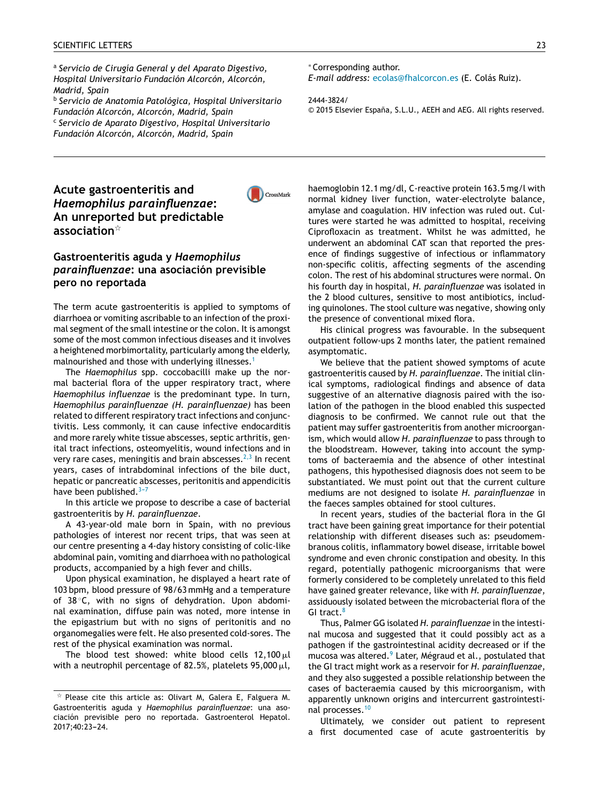a *Ser[vic](http://refhub.elsevier.com/S2444-3824(17)30009-3/sbref0060)io [de](http://refhub.elsevier.com/S2444-3824(17)30009-3/sbref0060) [Cirugía](http://refhub.elsevier.com/S2444-3824(17)30009-3/sbref0060) General y [del](http://refhub.elsevier.com/S2444-3824(17)30009-3/sbref0060) [Apar](http://refhub.elsevier.com/S2444-3824(17)30009-3/sbref0060)ato [Digesti](http://refhub.elsevier.com/S2444-3824(17)30009-3/sbref0060)[vo,](http://crossmark.crossref.org/dialog/?doi=10.1016/j.gastre.2015.10.004&domain=pdf) Hos[pita](http://refhub.elsevier.com/S2444-3824(17)30009-3/sbref0060)l [Universitario](http://refhub.elsevier.com/S2444-3824(17)30009-3/sbref0060) [Fund](http://refhub.elsevier.com/S2444-3824(17)30009-3/sbref0060)ación [Alcorc](http://refhub.elsevier.com/S2444-3824(17)30009-3/sbref0060)ón, [Alcorcón,](http://refhub.elsevier.com/S2444-3824(17)30009-3/sbref0060) Mad[rid,](http://refhub.elsevier.com/S2444-3824(17)30009-3/sbref0060) [Spain](http://refhub.elsevier.com/S2444-3824(17)30009-3/sbref0060)* b *Ser[vicio](http://refhub.elsevier.com/S2444-3824(17)30009-3/sbref0065) de [A](http://refhub.elsevier.com/S2444-3824(17)30009-3/sbref0065)n[atomí](http://refhub.elsevier.com/S2444-3824(17)30009-3/sbref0065)a [P](http://refhub.elsevier.com/S2444-3824(17)30009-3/sbref0065)a[tológ](http://refhub.elsevier.com/S2444-3824(17)30009-3/sbref0065)i[ca,](http://refhub.elsevier.com/S2444-3824(17)30009-3/sbref0065) [Hosp](http://refhub.elsevier.com/S2444-3824(17)30009-3/sbref0065)i[tal](http://refhub.elsevier.com/S2444-3824(17)30009-3/sbref0065) [Universitario](http://refhub.elsevier.com/S2444-3824(17)30009-3/sbref0065)*

*Fun[dación](http://refhub.elsevier.com/S2444-3824(17)30009-3/sbref0065) [Alcorcón](http://refhub.elsevier.com/S2444-3824(17)30009-3/sbref0065), [Alcorcón](http://refhub.elsevier.com/S2444-3824(17)30009-3/sbref0065), [Mad](http://refhub.elsevier.com/S2444-3824(17)30009-3/sbref0065)rid, [Spain](http://refhub.elsevier.com/S2444-3824(17)30009-3/sbref0065)* c *Ser[vicio](http://refhub.elsevier.com/S2444-3824(17)30009-3/sbref0065) de A[parato](http://refhub.elsevier.com/S2444-3824(17)30009-3/sbref0065) D[igestivo,](http://refhub.elsevier.com/S2444-3824(17)30009-3/sbref0065) [Hospita](http://refhub.elsevier.com/S2444-3824(17)30009-3/sbref0065)l [Universitario](http://refhub.elsevier.com/S2444-3824(17)30009-3/sbref0065) Fun[dación](http://refhub.elsevier.com/S2444-3824(17)30009-3/sbref0070) [Alcorcón,](http://refhub.elsevier.com/S2444-3824(17)30009-3/sbref0070) [Alcorcón,](http://refhub.elsevier.com/S2444-3824(17)30009-3/sbref0070) [Madrid,](http://refhub.elsevier.com/S2444-3824(17)30009-3/sbref0070) [Spain](http://refhub.elsevier.com/S2444-3824(17)30009-3/sbref0070)*

# **Ac[ut](http://refhub.elsevier.com/S2444-3824(17)30009-3/sbref0075)e [gastroenteritis](http://refhub.elsevier.com/S2444-3824(17)30009-3/sbref0075) [and](http://refhub.elsevier.com/S2444-3824(17)30009-3/sbref0075)** *Ha[emophilus](http://refhub.elsevier.com/S2444-3824(17)30009-3/sbref0075) [parainfluenzae](http://refhub.elsevier.com/S2444-3824(17)30009-3/sbref0075)***: An [unreporte](http://refhub.elsevier.com/S2444-3824(17)30009-3/sbref0075)[d](http://refhub.elsevier.com/S2444-3824(17)30009-3/sbref0080) but [pred](http://refhub.elsevier.com/S2444-3824(17)30009-3/sbref0080)ict[ab](http://refhub.elsevier.com/S2444-3824(17)30009-3/sbref0080)l[e](http://refhub.elsevier.com/S2444-3824(17)30009-3/sbref0080) a[ss](http://refhub.elsevier.com/S2444-3824(17)30009-3/sbref0035)[ociation](http://refhub.elsevier.com/S2444-3824(17)30009-3/sbref0080)**[-](http://refhub.elsevier.com/S2444-3824(17)30009-3/sbref0080)



## **G[ast](http://refhub.elsevier.com/S2444-3824(17)30009-3/sbref0035)[ro](http://refhub.elsevier.com/S2444-3824(17)30009-3/sbref0080)[e](http://refhub.elsevier.com/S2444-3824(17)30009-3/sbref0035)[nte](http://refhub.elsevier.com/S2444-3824(17)30009-3/sbref0080)[ritis](http://refhub.elsevier.com/S2444-3824(17)30009-3/sbref0035) [aguda](http://refhub.elsevier.com/S2444-3824(17)30009-3/sbref0080) y** *[Hae](http://refhub.elsevier.com/S2444-3824(17)30009-3/sbref0035)[mophilu](http://refhub.elsevier.com/S2444-3824(17)30009-3/sbref0080)[s](http://refhub.elsevier.com/S2444-3824(17)30009-3/sbref0035) p[arainfluen](http://refhub.elsevier.com/S2444-3824(17)30009-3/sbref0035)[z](http://refhub.elsevier.com/S2444-3824(17)30009-3/sbref0085)[a](http://refhub.elsevier.com/S2444-3824(17)30009-3/sbref0035)[e](http://refhub.elsevier.com/S2444-3824(17)30009-3/sbref0085)***: [una](http://refhub.elsevier.com/S2444-3824(17)30009-3/sbref0085) [asociación](http://refhub.elsevier.com/S2444-3824(17)30009-3/sbref0085) [previsible](http://refhub.elsevier.com/S2444-3824(17)30009-3/sbref0085) p[ero](http://refhub.elsevier.com/S2444-3824(17)30009-3/sbref0040) [no](http://refhub.elsevier.com/S2444-3824(17)30009-3/sbref0040) [rep](http://refhub.elsevier.com/S2444-3824(17)30009-3/sbref0085)[or](http://refhub.elsevier.com/S2444-3824(17)30009-3/sbref0040)[tada](http://refhub.elsevier.com/S2444-3824(17)30009-3/sbref0085)**

The [term](http://refhub.elsevier.com/S2444-3824(17)30009-3/sbref0045) [acute](http://refhub.elsevier.com/S2444-3824(17)30009-3/sbref0045) [gastroenteri](http://refhub.elsevier.com/S2444-3824(17)30009-3/sbref0045)tis is [applie](http://refhub.elsevier.com/S2444-3824(17)30009-3/sbref0045)d to [symptom](http://refhub.elsevier.com/S2444-3824(17)30009-3/sbref0045)s [of](http://refhub.elsevier.com/S2444-3824(17)30009-3/sbref0045) di[arrhoea](http://refhub.elsevier.com/S2444-3824(17)30009-3/sbref0045) or [vomiting](http://refhub.elsevier.com/S2444-3824(17)30009-3/sbref0045) a[scribable](http://refhub.elsevier.com/S2444-3824(17)30009-3/sbref0045) t[o](http://refhub.elsevier.com/S2444-3824(17)30009-3/sbref0045) an [infection](http://refhub.elsevier.com/S2444-3824(17)30009-3/sbref0045) of [the](http://refhub.elsevier.com/S2444-3824(17)30009-3/sbref0045) [proxi](http://refhub.elsevier.com/S2444-3824(17)30009-3/sbref0045)m[al](http://refhub.elsevier.com/S2444-3824(17)30009-3/sbref0045) [segme](http://refhub.elsevier.com/S2444-3824(17)30009-3/sbref0045)nt [of](http://refhub.elsevier.com/S2444-3824(17)30009-3/sbref0045) [the](http://refhub.elsevier.com/S2444-3824(17)30009-3/sbref0045) small [intestine](http://refhub.elsevier.com/S2444-3824(17)30009-3/sbref0045) [or](http://refhub.elsevier.com/S2444-3824(17)30009-3/sbref0045) the colon. It is amongst some of the most common infectious diseases and it [involves](http://crossmark.crossref.org/dialog/?doi=10.1016/j.gastre.2015.10.004&domain=pdf) a heightened morbimortality, particularly among the elderly, malnourished and those with underlying illnesses.<sup>1</sup>

The *Haemophilus* spp. coccobacilli make up the normal bacterial flora of the upper respiratory tract, where *Haemophilus influenzae* is the predominant type. In turn, *Haemophilus parainfluenzae (H. parainfluenzae)* has [been](http://crossmark.crossref.org/dialog/?doi=10.1016/j.gastre.2015.10.004&domain=pdf) related to different respiratory tract infections and conjunctivitis. Less commonly, it can cause infective endocarditis and more rarely white tissue abscesses, septic arthritis, genital tract infections, osteomyelitis, wound infections and in very rare cases, meningitis and brain abscesses. $2,3$  In recent years, cases of intrabdominal infections of the bile duct, hepatic or pancreatic abscesses, peritonitis and appendicitis have been published. $3-7$ 

In this article we propose to describe a case of bacterial gastroenteritis by *H. parainfluenzae*.

A 43-year-old male born in Spain, with no previous pathologies of interest nor recent trips, that was seen at our centre presenting a 4-day history consisting of colic-like abdominal pain, vomiting and diarrhoea with no pathological products, accompanied by a high fever and chills.

Upon physical examination, he displayed a heart rate of 103 bpm, blood pressure of 98/63 mmHg and a temperature of 38 ◦C, with no signs of dehydration. Upon abdominal examination, diffuse pain was noted, more intense in the epigastrium but with no signs of peritonitis and no organomegalies were felt. He also presented cold-sores. The rest of the physical examination was normal.

The blood test showed: white blood cells 12,100 $\mu$ l with a neutrophil percentage of 82.5%, platelets 95,000  $\mu$ l, <sup>∗</sup> C[or](http://refhub.elsevier.com/S2444-3824(17)30009-3/sbref0050)[respo](http://refhub.elsevier.com/S2444-3824(17)30009-3/sbref0090)[n](http://refhub.elsevier.com/S2444-3824(17)30009-3/sbref0050)[di](http://refhub.elsevier.com/S2444-3824(17)30009-3/sbref0090)[ng](http://refhub.elsevier.com/S2444-3824(17)30009-3/sbref0050) [a](http://refhub.elsevier.com/S2444-3824(17)30009-3/sbref0090)[ut](http://refhub.elsevier.com/S2444-3824(17)30009-3/sbref0050)[hor](http://refhub.elsevier.com/S2444-3824(17)30009-3/sbref0090)[.](http://refhub.elsevier.com/S2444-3824(17)30009-3/sbref0050)

*E-[mail](http://refhub.elsevier.com/S2444-3824(17)30009-3/sbref0050) [a](http://refhub.elsevier.com/S2444-3824(17)30009-3/sbref0090)[ddress:](http://refhub.elsevier.com/S2444-3824(17)30009-3/sbref0050)* [ecol](mailto:ecolas@fhalcorcon.es)[as@](http://refhub.elsevier.com/S2444-3824(17)30009-3/sbref0050)[fhal](http://refhub.elsevier.com/S2444-3824(17)30009-3/sbref0090)[cor](http://refhub.elsevier.com/S2444-3824(17)30009-3/sbref0050)[con.es](mailto:ecolas@fhalcorcon.es) (E. [Col](http://refhub.elsevier.com/S2444-3824(17)30009-3/sbref0090)[ás](http://refhub.elsevier.com/S2444-3824(17)30009-3/sbref0050) [Ru](http://refhub.elsevier.com/S2444-3824(17)30009-3/sbref0050)[iz\).](http://refhub.elsevier.com/S2444-3824(17)30009-3/sbref0090)

#### 24[44-382](http://refhub.elsevier.com/S2444-3824(17)30009-3/sbref0055)4[/](http://refhub.elsevier.com/S2444-3824(17)30009-3/sbref0055)

© 2015 [Elsevier](http://refhub.elsevier.com/S2444-3824(17)30009-3/sbref0055) España, [S.L.U.,](http://refhub.elsevier.com/S2444-3824(17)30009-3/sbref0055) [AEEH](http://refhub.elsevier.com/S2444-3824(17)30009-3/sbref0055) and [AEG.](http://refhub.elsevier.com/S2444-3824(17)30009-3/sbref0055) [All](http://refhub.elsevier.com/S2444-3824(17)30009-3/sbref0055) [rights](http://refhub.elsevier.com/S2444-3824(17)30009-3/sbref0055) [reserved.](http://refhub.elsevier.com/S2444-3824(17)30009-3/sbref0055)

hae[moglobin](http://refhub.elsevier.com/S2444-3824(17)30009-3/sbref0060) 1[2.1](http://refhub.elsevier.com/S2444-3824(17)30009-3/sbref0060) mg/dl, C-reactive protein 163.5 mg/l with nor[mal](http://refhub.elsevier.com/S2444-3824(17)30009-3/sbref0065) [kidne](http://refhub.elsevier.com/S2444-3824(17)30009-3/sbref0065)y [liver](http://refhub.elsevier.com/S2444-3824(17)30009-3/sbref0065) [function,](http://refhub.elsevier.com/S2444-3824(17)30009-3/sbref0065) [water](http://refhub.elsevier.com/S2444-3824(17)30009-3/sbref0065)-[electrolyte](http://refhub.elsevier.com/S2444-3824(17)30009-3/sbref0065) balan[ce,](http://refhub.elsevier.com/S2444-3824(17)30009-3/sbref0065) am[ylase](http://refhub.elsevier.com/S2444-3824(17)30009-3/sbref0065) [an](http://refhub.elsevier.com/S2444-3824(17)30009-3/sbref0065)d [coagulatio](http://refhub.elsevier.com/S2444-3824(17)30009-3/sbref0065)n. HIV [infection](http://refhub.elsevier.com/S2444-3824(17)30009-3/sbref0065) [was](http://refhub.elsevier.com/S2444-3824(17)30009-3/sbref0065) ruled [out](http://refhub.elsevier.com/S2444-3824(17)30009-3/sbref0065). [Cul](http://refhub.elsevier.com/S2444-3824(17)30009-3/sbref0065)tur[es](http://refhub.elsevier.com/S2444-3824(17)30009-3/sbref0065) w[er](http://refhub.elsevier.com/S2444-3824(17)30009-3/sbref0065)e [started](http://refhub.elsevier.com/S2444-3824(17)30009-3/sbref0065) he was [admitted](http://refhub.elsevier.com/S2444-3824(17)30009-3/sbref0065) to [hospital,](http://refhub.elsevier.com/S2444-3824(17)30009-3/sbref0065) [receiving](http://refhub.elsevier.com/S2444-3824(17)30009-3/sbref0065) Cip[rofloxac](http://refhub.elsevier.com/S2444-3824(17)30009-3/sbref0065)in as treatm[en](http://refhub.elsevier.com/S2444-3824(17)30009-3/sbref0070)t. Whi[lst](http://refhub.elsevier.com/S2444-3824(17)30009-3/sbref0070) he [was](http://refhub.elsevier.com/S2444-3824(17)30009-3/sbref0070) [admitted,](http://refhub.elsevier.com/S2444-3824(17)30009-3/sbref0070) he un[derwent](http://refhub.elsevier.com/S2444-3824(17)30009-3/sbref0070) [an](http://refhub.elsevier.com/S2444-3824(17)30009-3/sbref0070) [abd](http://refhub.elsevier.com/S2444-3824(17)30009-3/sbref0070)[ominal](mailto:anath15@hotmail.com) [CAT](http://refhub.elsevier.com/S2444-3824(17)30009-3/sbref0070) [scan](http://refhub.elsevier.com/S2444-3824(17)30009-3/sbref0070) that [reported](http://refhub.elsevier.com/S2444-3824(17)30009-3/sbref0070) the [pres](http://refhub.elsevier.com/S2444-3824(17)30009-3/sbref0070)ence of [findings](http://refhub.elsevier.com/S2444-3824(17)30009-3/sbref0070) [suggestive](http://refhub.elsevier.com/S2444-3824(17)30009-3/sbref0070) [o](http://refhub.elsevier.com/S2444-3824(17)30009-3/sbref0070)f [infectious](http://refhub.elsevier.com/S2444-3824(17)30009-3/sbref0070) or [inflammatory](http://refhub.elsevier.com/S2444-3824(17)30009-3/sbref0070) no[n-specific](http://refhub.elsevier.com/S2444-3824(17)30009-3/sbref0070) colitis, [affecting](http://refhub.elsevier.com/S2444-3824(17)30009-3/sbref0070) segments of the [a](http://refhub.elsevier.com/S2444-3824(17)30009-3/sbref0070)scending col[on.](http://refhub.elsevier.com/S2444-3824(17)30009-3/sbref0075) The [re](http://refhub.elsevier.com/S2444-3824(17)30009-3/sbref0075)st of his [abd](http://refhub.elsevier.com/S2444-3824(17)30009-3/sbref0075)o[m](http://refhub.elsevier.com/S2444-3824(17)30009-3/sbref0075)inal [stru](http://refhub.elsevier.com/S2444-3824(17)30009-3/sbref0075)c[tu](http://refhub.elsevier.com/S2444-3824(17)30009-3/sbref0075)res [were](http://refhub.elsevier.com/S2444-3824(17)30009-3/sbref0075) [no](http://refhub.elsevier.com/S2444-3824(17)30009-3/sbref0075)r[mal.](http://refhub.elsevier.com/S2444-3824(17)30009-3/sbref0075) On his [fourth](http://refhub.elsevier.com/S2444-3824(17)30009-3/sbref0075) day i[n](http://refhub.elsevier.com/S2444-3824(17)30009-3/sbref0075) [hospital,](mailto:oscarej@hotmail.com) *H. [parainfluenzae](http://refhub.elsevier.com/S2444-3824(17)30009-3/sbref0075)* [w](http://refhub.elsevier.com/S2444-3824(17)30009-3/sbref0075)as [iso](http://refhub.elsevier.com/S2444-3824(17)30009-3/sbref0075)l[a](http://refhub.elsevier.com/S2444-3824(17)30009-3/sbref0075)t[ed](http://refhub.elsevier.com/S2444-3824(17)30009-3/sbref0075) in the 2 [blood](http://refhub.elsevier.com/S2444-3824(17)30009-3/sbref0075) cultures, sensitive to most antibiotics, including [quinolo](http://refhub.elsevier.com/S2444-3824(17)30009-3/sbref0080)n[es](http://refhub.elsevier.com/S2444-3824(17)30009-3/sbref0080). [The](http://refhub.elsevier.com/S2444-3824(17)30009-3/sbref0080) stool [cu](http://refhub.elsevier.com/S2444-3824(17)30009-3/sbref0080)l[ture](http://refhub.elsevier.com/S2444-3824(17)30009-3/sbref0080) was [negative](http://refhub.elsevier.com/S2444-3824(17)30009-3/sbref0080), [show](http://refhub.elsevier.com/S2444-3824(17)30009-3/sbref0080)ing [only](http://refhub.elsevier.com/S2444-3824(17)30009-3/sbref0080) the [pre](http://refhub.elsevier.com/S2444-3824(17)30009-3/sbref0080)s[ence](http://refhub.elsevier.com/S2444-3824(17)30009-3/sbref0080) of [convention](http://refhub.elsevier.com/S2444-3824(17)30009-3/sbref0080)al [m](http://refhub.elsevier.com/S2444-3824(17)30009-3/sbref0080)ix[e](http://refhub.elsevier.com/S2444-3824(17)30009-3/sbref0080)d [flora.](http://refhub.elsevier.com/S2444-3824(17)30009-3/sbref0080)

[His](http://refhub.elsevier.com/S2444-3824(17)30009-3/sbref0080) [clini](http://refhub.elsevier.com/S2444-3824(17)30009-3/sbref0080)cal progr[es](http://refhub.elsevier.com/S2444-3824(17)30009-3/sbref0085)s was favourable. In the subsequent out[patient](http://refhub.elsevier.com/S2444-3824(17)30009-3/sbref0085) [follow-ups](http://refhub.elsevier.com/S2444-3824(17)30009-3/sbref0085) 2 [mont](http://refhub.elsevier.com/S2444-3824(17)30009-3/sbref0085)hs [later,](http://refhub.elsevier.com/S2444-3824(17)30009-3/sbref0085) t[he](http://refhub.elsevier.com/S2444-3824(17)30009-3/sbref0085) [patien](http://refhub.elsevier.com/S2444-3824(17)30009-3/sbref0085)t [remained](http://refhub.elsevier.com/S2444-3824(17)30009-3/sbref0085) asy[mptomatic](http://refhub.elsevier.com/S2444-3824(17)30009-3/sbref0085).

We [beli](http://refhub.elsevier.com/S2444-3824(17)30009-3/sbref0085)eve [that](http://refhub.elsevier.com/S2444-3824(17)30009-3/sbref0085) th[e](http://refhub.elsevier.com/S2444-3824(17)30009-3/sbref0085) [patient](http://refhub.elsevier.com/S2444-3824(17)30009-3/sbref0085) [show](http://refhub.elsevier.com/S2444-3824(17)30009-3/sbref0085)ed [sympto](http://refhub.elsevier.com/S2444-3824(17)30009-3/sbref0085)ms of [acute](http://refhub.elsevier.com/S2444-3824(17)30009-3/sbref0085) gas[troenteritis](http://refhub.elsevier.com/S2444-3824(17)30009-3/sbref0090) [cause](http://refhub.elsevier.com/S2444-3824(17)30009-3/sbref0090)d [by](http://refhub.elsevier.com/S2444-3824(17)30009-3/sbref0090) *[H.](http://refhub.elsevier.com/S2444-3824(17)30009-3/sbref0090) pa[ra](http://refhub.elsevier.com/S2444-3824(17)30009-3/sbref0090)i[nfluenzae](http://refhub.elsevier.com/S2444-3824(17)30009-3/sbref0090)*. T[h](http://refhub.elsevier.com/S2444-3824(17)30009-3/sbref0090)e [initial](http://refhub.elsevier.com/S2444-3824(17)30009-3/sbref0090) c[lin](http://refhub.elsevier.com/S2444-3824(17)30009-3/sbref0090)ical [sympto](http://refhub.elsevier.com/S2444-3824(17)30009-3/sbref0090)ms, [radiol](http://refhub.elsevier.com/S2444-3824(17)30009-3/sbref0090)ogical [finding](http://refhub.elsevier.com/S2444-3824(17)30009-3/sbref0090)s [and](http://refhub.elsevier.com/S2444-3824(17)30009-3/sbref0090) [absence](http://refhub.elsevier.com/S2444-3824(17)30009-3/sbref0090) [of](http://refhub.elsevier.com/S2444-3824(17)30009-3/sbref0090) [data](http://refhub.elsevier.com/S2444-3824(17)30009-3/sbref0090) sug[gestive](http://refhub.elsevier.com/S2444-3824(17)30009-3/sbref0090) of [an](http://refhub.elsevier.com/S2444-3824(17)30009-3/sbref0090) al[ternative](http://refhub.elsevier.com/S2444-3824(17)30009-3/sbref0090) [diagn](http://refhub.elsevier.com/S2444-3824(17)30009-3/sbref0090)osis [paired](http://refhub.elsevier.com/S2444-3824(17)30009-3/sbref0090) [with](http://refhub.elsevier.com/S2444-3824(17)30009-3/sbref0090) the [iso](http://refhub.elsevier.com/S2444-3824(17)30009-3/sbref0090)lati[on](http://refhub.elsevier.com/S2444-3824(17)30009-3/sbref0090) of [the](http://refhub.elsevier.com/S2444-3824(17)30009-3/sbref0090) p[athogen](http://refhub.elsevier.com/S2444-3824(17)30009-3/sbref0090) in t[he](http://refhub.elsevier.com/S2444-3824(17)30009-3/sbref0090) [bl](http://refhub.elsevier.com/S2444-3824(17)30009-3/sbref0090)ood enabled this suspected dia[gnosis](http://refhub.elsevier.com/S2444-3824(17)30009-3/sbref0095) [to](http://refhub.elsevier.com/S2444-3824(17)30009-3/sbref0095) be [confirmed.](http://refhub.elsevier.com/S2444-3824(17)30009-3/sbref0095) [We](http://refhub.elsevier.com/S2444-3824(17)30009-3/sbref0095) c[annot](http://refhub.elsevier.com/S2444-3824(17)30009-3/sbref0095) [rul](http://refhub.elsevier.com/S2444-3824(17)30009-3/sbref0095)e [out](http://refhub.elsevier.com/S2444-3824(17)30009-3/sbref0095) [tha](http://refhub.elsevier.com/S2444-3824(17)30009-3/sbref0095)t [the](http://refhub.elsevier.com/S2444-3824(17)30009-3/sbref0095) pat[ient](http://refhub.elsevier.com/S2444-3824(17)30009-3/sbref0095) may [suf](http://refhub.elsevier.com/S2444-3824(17)30009-3/sbref0095)fer [gastroenteritis](http://refhub.elsevier.com/S2444-3824(17)30009-3/sbref0095) fr[om](http://refhub.elsevier.com/S2444-3824(17)30009-3/sbref0095) a[nother](http://refhub.elsevier.com/S2444-3824(17)30009-3/sbref0095) m[icroorgan](http://refhub.elsevier.com/S2444-3824(17)30009-3/sbref0095)ism, [wh](http://refhub.elsevier.com/S2444-3824(17)30009-3/sbref0095)ich [would](http://refhub.elsevier.com/S2444-3824(17)30009-3/sbref0095) allo[w](http://refhub.elsevier.com/S2444-3824(17)30009-3/sbref0095) *[H.](http://refhub.elsevier.com/S2444-3824(17)30009-3/sbref0095) parainfluenzae* to pass through to the [bloo](http://refhub.elsevier.com/S2444-3824(17)30009-3/sbref0100)[dstre](http://refhub.elsevier.com/S2444-3824(17)30009-3/sbref0055)[am.](http://refhub.elsevier.com/S2444-3824(17)30009-3/sbref0100) [Ho](http://refhub.elsevier.com/S2444-3824(17)30009-3/sbref0100)[we](http://refhub.elsevier.com/S2444-3824(17)30009-3/sbref0055)[ver,](http://refhub.elsevier.com/S2444-3824(17)30009-3/sbref0100) ta[king](http://refhub.elsevier.com/S2444-3824(17)30009-3/sbref0100) [into](http://refhub.elsevier.com/S2444-3824(17)30009-3/sbref0055) [a](http://refhub.elsevier.com/S2444-3824(17)30009-3/sbref0100)c[c](http://refhub.elsevier.com/S2444-3824(17)30009-3/sbref0055)[oun](http://refhub.elsevier.com/S2444-3824(17)30009-3/sbref0100)t [t](http://refhub.elsevier.com/S2444-3824(17)30009-3/sbref0100)[he](http://refhub.elsevier.com/S2444-3824(17)30009-3/sbref0055) [s](http://refhub.elsevier.com/S2444-3824(17)30009-3/sbref0100)[ymp](http://refhub.elsevier.com/S2444-3824(17)30009-3/sbref0055)toms [of](http://refhub.elsevier.com/S2444-3824(17)30009-3/sbref0060) [bac](http://refhub.elsevier.com/S2444-3824(17)30009-3/sbref0060)[teraemia](http://refhub.elsevier.com/S2444-3824(17)30009-3/sbref0100) [and](http://refhub.elsevier.com/S2444-3824(17)30009-3/sbref0060) [th](http://refhub.elsevier.com/S2444-3824(17)30009-3/sbref0060)[e](http://refhub.elsevier.com/S2444-3824(17)30009-3/sbref0100) [ab](http://refhub.elsevier.com/S2444-3824(17)30009-3/sbref0060)[sence](http://refhub.elsevier.com/S2444-3824(17)30009-3/sbref0100) [of](http://refhub.elsevier.com/S2444-3824(17)30009-3/sbref0060) [other](http://refhub.elsevier.com/S2444-3824(17)30009-3/sbref0100) [intestina](http://refhub.elsevier.com/S2444-3824(17)30009-3/sbref0100)[l](http://refhub.elsevier.com/S2444-3824(17)30009-3/sbref0060) pat[ho](http://refhub.elsevier.com/S2444-3824(17)30009-3/sbref0100)[gens,](http://refhub.elsevier.com/S2444-3824(17)30009-3/sbref0060) this [hypothesised](http://refhub.elsevier.com/S2444-3824(17)30009-3/sbref0060) [diag](http://refhub.elsevier.com/S2444-3824(17)30009-3/sbref0060)nosis [does](http://refhub.elsevier.com/S2444-3824(17)30009-3/sbref0060) [not](http://refhub.elsevier.com/S2444-3824(17)30009-3/sbref0060) s[eem](http://refhub.elsevier.com/S2444-3824(17)30009-3/sbref0060) to [be](http://refhub.elsevier.com/S2444-3824(17)30009-3/sbref0060) subs[tantiated.](http://refhub.elsevier.com/S2444-3824(17)30009-3/sbref0060) We [m](http://refhub.elsevier.com/S2444-3824(17)30009-3/sbref0060)ust [point](http://refhub.elsevier.com/S2444-3824(17)30009-3/sbref0060) out [that](http://refhub.elsevier.com/S2444-3824(17)30009-3/sbref0060) th[e](http://refhub.elsevier.com/S2444-3824(17)30009-3/sbref0060) [current](http://refhub.elsevier.com/S2444-3824(17)30009-3/sbref0060) cu[lture](http://refhub.elsevier.com/S2444-3824(17)30009-3/sbref0060) med[iums](http://refhub.elsevier.com/S2444-3824(17)30009-3/sbref0060) [ar](http://refhub.elsevier.com/S2444-3824(17)30009-3/sbref0060)e not designed to isolate *H. parainfluenzae* in the [faece](http://refhub.elsevier.com/S2444-3824(17)30009-3/sbref0065)s [s](http://refhub.elsevier.com/S2444-3824(17)30009-3/sbref0065)amples [obtained](http://refhub.elsevier.com/S2444-3824(17)30009-3/sbref0065) [for](http://refhub.elsevier.com/S2444-3824(17)30009-3/sbref0065) [stool](http://refhub.elsevier.com/S2444-3824(17)30009-3/sbref0065) cult[ures.](http://refhub.elsevier.com/S2444-3824(17)30009-3/sbref0065)

In [recen](http://refhub.elsevier.com/S2444-3824(17)30009-3/sbref0065)t [years,](http://refhub.elsevier.com/S2444-3824(17)30009-3/sbref0065) [studie](http://refhub.elsevier.com/S2444-3824(17)30009-3/sbref0065)s [of](http://refhub.elsevier.com/S2444-3824(17)30009-3/sbref0065) the [bacterial](http://refhub.elsevier.com/S2444-3824(17)30009-3/sbref0065) [flora](http://refhub.elsevier.com/S2444-3824(17)30009-3/sbref0065) in th[e](http://refhub.elsevier.com/S2444-3824(17)30009-3/sbref0065) GI tract [have](http://refhub.elsevier.com/S2444-3824(17)30009-3/sbref0065) been [gainin](http://refhub.elsevier.com/S2444-3824(17)30009-3/sbref0065)g [great](http://refhub.elsevier.com/S2444-3824(17)30009-3/sbref0065) im[portance](http://refhub.elsevier.com/S2444-3824(17)30009-3/sbref0065) [f](http://refhub.elsevier.com/S2444-3824(17)30009-3/sbref0065)or [their](http://refhub.elsevier.com/S2444-3824(17)30009-3/sbref0065) pot[ential](http://refhub.elsevier.com/S2444-3824(17)30009-3/sbref0065) rela[tionsh](http://refhub.elsevier.com/S2444-3824(17)30009-3/sbref0065)ip with different diseases such as: pseudomembranous [colitis,](http://refhub.elsevier.com/S2444-3824(17)30009-3/sbref0070) [inflammat](http://refhub.elsevier.com/S2444-3824(17)30009-3/sbref0070)ory [bowe](http://refhub.elsevier.com/S2444-3824(17)30009-3/sbref0070)l [dis](http://refhub.elsevier.com/S2444-3824(17)30009-3/sbref0070)ease, [irritable](http://refhub.elsevier.com/S2444-3824(17)30009-3/sbref0070) [bowel](http://refhub.elsevier.com/S2444-3824(17)30009-3/sbref0070) synd[rome](http://refhub.elsevier.com/S2444-3824(17)30009-3/sbref0070) [and](http://refhub.elsevier.com/S2444-3824(17)30009-3/sbref0070) e[ven](http://refhub.elsevier.com/S2444-3824(17)30009-3/sbref0070) [chronic](http://refhub.elsevier.com/S2444-3824(17)30009-3/sbref0070) [constipation](http://refhub.elsevier.com/S2444-3824(17)30009-3/sbref0070) [and](http://refhub.elsevier.com/S2444-3824(17)30009-3/sbref0070) [obesity](http://refhub.elsevier.com/S2444-3824(17)30009-3/sbref0070). [In](http://refhub.elsevier.com/S2444-3824(17)30009-3/sbref0070) [this](http://refhub.elsevier.com/S2444-3824(17)30009-3/sbref0070) rega[rd,](http://refhub.elsevier.com/S2444-3824(17)30009-3/sbref0070) [potent](http://refhub.elsevier.com/S2444-3824(17)30009-3/sbref0070)ially pathogenic microorga[nis](http://refhub.elsevier.com/S2444-3824(17)30009-3/sbref0070)ms that [were](http://refhub.elsevier.com/S2444-3824(17)30009-3/sbref0070) for[merly](http://refhub.elsevier.com/S2444-3824(17)30009-3/sbref0075) co[nsidered](http://refhub.elsevier.com/S2444-3824(17)30009-3/sbref0075) to [be](http://refhub.elsevier.com/S2444-3824(17)30009-3/sbref0075) [completely](http://refhub.elsevier.com/S2444-3824(17)30009-3/sbref0075) [unrelated](http://refhub.elsevier.com/S2444-3824(17)30009-3/sbref0075) to thi[s](http://refhub.elsevier.com/S2444-3824(17)30009-3/sbref0075) fi[eld](http://refhub.elsevier.com/S2444-3824(17)30009-3/sbref0075) have [gained](http://refhub.elsevier.com/S2444-3824(17)30009-3/sbref0075) [greater](http://refhub.elsevier.com/S2444-3824(17)30009-3/sbref0075) r[elevance,](http://refhub.elsevier.com/S2444-3824(17)30009-3/sbref0075) lik[e](http://refhub.elsevier.com/S2444-3824(17)30009-3/sbref0075) [with](http://refhub.elsevier.com/S2444-3824(17)30009-3/sbref0075) *H. pa[rainfluenzae](http://refhub.elsevier.com/S2444-3824(17)30009-3/sbref0075)*, assi[duou](http://refhub.elsevier.com/S2444-3824(17)30009-3/sbref0075)sly [isolated](http://refhub.elsevier.com/S2444-3824(17)30009-3/sbref0075) be[twee](http://refhub.elsevier.com/S2444-3824(17)30009-3/sbref0075)n the [microbacterial](http://refhub.elsevier.com/S2444-3824(17)30009-3/sbref0075) flora of [the](http://refhub.elsevier.com/S2444-3824(17)30009-3/sbref0075) GI tr[act.](http://refhub.elsevier.com/S2444-3824(17)30009-3/sbref0075) $^8$ 

Thus, [Palmer](http://refhub.elsevier.com/S2444-3824(17)30009-3/sbref0080) [GG](http://refhub.elsevier.com/S2444-3824(17)30009-3/sbref0080) i[solated](http://refhub.elsevier.com/S2444-3824(17)30009-3/sbref0080) *H. [parainfluenzae](http://refhub.elsevier.com/S2444-3824(17)30009-3/sbref0080)* in [t](http://refhub.elsevier.com/S2444-3824(17)30009-3/sbref0080)he [intesti](http://refhub.elsevier.com/S2444-3824(17)30009-3/sbref0080)nal [mucosa](http://refhub.elsevier.com/S2444-3824(17)30009-3/sbref0080) a[nd](http://refhub.elsevier.com/S2444-3824(17)30009-3/sbref0080) [suggeste](http://refhub.elsevier.com/S2444-3824(17)30009-3/sbref0080)d [that](http://refhub.elsevier.com/S2444-3824(17)30009-3/sbref0080) it [cou](http://refhub.elsevier.com/S2444-3824(17)30009-3/sbref0080)ld [possibl](http://refhub.elsevier.com/S2444-3824(17)30009-3/sbref0080)y [act](http://refhub.elsevier.com/S2444-3824(17)30009-3/sbref0080) as [a](http://refhub.elsevier.com/S2444-3824(17)30009-3/sbref0080) path[ogen](http://refhub.elsevier.com/S2444-3824(17)30009-3/sbref0080) if the [gastrointestinal](http://refhub.elsevier.com/S2444-3824(17)30009-3/sbref0080) [acid](http://refhub.elsevier.com/S2444-3824(17)30009-3/sbref0080)ity decreased or if the m[ucosa](http://refhub.elsevier.com/S2444-3824(17)30009-3/sbref0050) [was](http://refhub.elsevier.com/S2444-3824(17)30009-3/sbref0085) [a](http://refhub.elsevier.com/S2444-3824(17)30009-3/sbref0050)[lte](http://refhub.elsevier.com/S2444-3824(17)30009-3/sbref0085)[r](http://refhub.elsevier.com/S2444-3824(17)30009-3/sbref0050)[ed.](http://refhub.elsevier.com/S2444-3824(17)30009-3/sbref0085)<sup>9</sup> La[ter](http://refhub.elsevier.com/S2444-3824(17)30009-3/sbref0085)[,](http://refhub.elsevier.com/S2444-3824(17)30009-3/sbref0050) [Mégraud](http://refhub.elsevier.com/S2444-3824(17)30009-3/sbref0085) et [al.,](http://refhub.elsevier.com/S2444-3824(17)30009-3/sbref0085) [po](http://refhub.elsevier.com/S2444-3824(17)30009-3/sbref0050)[stula](http://refhub.elsevier.com/S2444-3824(17)30009-3/sbref0085)[t](http://refhub.elsevier.com/S2444-3824(17)30009-3/sbref0085)[ed](http://refhub.elsevier.com/S2444-3824(17)30009-3/sbref0085) t[ha](http://refhub.elsevier.com/S2444-3824(17)30009-3/sbref0050)t the [GI](http://refhub.elsevier.com/S2444-3824(17)30009-3/sbref0090) [tra](http://refhub.elsevier.com/S2444-3824(17)30009-3/sbref0085)[ct](http://refhub.elsevier.com/S2444-3824(17)30009-3/sbref0050) [might](http://refhub.elsevier.com/S2444-3824(17)30009-3/sbref0050) [work](http://refhub.elsevier.com/S2444-3824(17)30009-3/sbref0085) a[s](http://refhub.elsevier.com/S2444-3824(17)30009-3/sbref0085) [a](http://refhub.elsevier.com/S2444-3824(17)30009-3/sbref0085) [reservoir](http://refhub.elsevier.com/S2444-3824(17)30009-3/sbref0050) f[or](http://refhub.elsevier.com/S2444-3824(17)30009-3/sbref0050) *[H](http://refhub.elsevier.com/S2444-3824(17)30009-3/sbref0090)[.](http://refhub.elsevier.com/S2444-3824(17)30009-3/sbref0050) [parainfluen](http://refhub.elsevier.com/S2444-3824(17)30009-3/sbref0050)[z](http://refhub.elsevier.com/S2444-3824(17)30009-3/sbref0090)[ae](http://refhub.elsevier.com/S2444-3824(17)30009-3/sbref0050)*, and [they](http://refhub.elsevier.com/S2444-3824(17)30009-3/sbref0050) [also](http://refhub.elsevier.com/S2444-3824(17)30009-3/sbref0090) [suggested](http://refhub.elsevier.com/S2444-3824(17)30009-3/sbref0050) [a](http://refhub.elsevier.com/S2444-3824(17)30009-3/sbref0090) [p](http://refhub.elsevier.com/S2444-3824(17)30009-3/sbref0050)[ossible](http://refhub.elsevier.com/S2444-3824(17)30009-3/sbref0090) [relationship](http://refhub.elsevier.com/S2444-3824(17)30009-3/sbref0090) [between](http://refhub.elsevier.com/S2444-3824(17)30009-3/sbref0090) the ca[ses](http://refhub.elsevier.com/S2444-3824(17)30009-3/sbref0055) of ba[cteraemia](http://refhub.elsevier.com/S2444-3824(17)30009-3/sbref0055) [caused](http://refhub.elsevier.com/S2444-3824(17)30009-3/sbref0055) [b](http://refhub.elsevier.com/S2444-3824(17)30009-3/sbref0055)y [this](http://refhub.elsevier.com/S2444-3824(17)30009-3/sbref0055) [microorganism,](http://refhub.elsevier.com/S2444-3824(17)30009-3/sbref0055) wi[th](http://refhub.elsevier.com/S2444-3824(17)30009-3/sbref0055) ap[parently](http://refhub.elsevier.com/S2444-3824(17)30009-3/sbref0055) [unknown](http://refhub.elsevier.com/S2444-3824(17)30009-3/sbref0055) origi[ns](http://refhub.elsevier.com/S2444-3824(17)30009-3/sbref0055) and [intercur](http://refhub.elsevier.com/S2444-3824(17)30009-3/sbref0055)rent [gastrointesti](http://refhub.elsevier.com/S2444-3824(17)30009-3/sbref0055)nal [processes.](http://refhub.elsevier.com/S2444-3824(17)30009-3/sbref0055)<sup>10</sup>

[Ultimately,](http://refhub.elsevier.com/S2444-3824(17)30009-3/sbref0060) w[e](http://refhub.elsevier.com/S2444-3824(17)30009-3/sbref0060) [consider](http://refhub.elsevier.com/S2444-3824(17)30009-3/sbref0060) [out](http://refhub.elsevier.com/S2444-3824(17)30009-3/sbref0060) p[atient](http://refhub.elsevier.com/S2444-3824(17)30009-3/sbref0060) to [represent](http://refhub.elsevier.com/S2444-3824(17)30009-3/sbref0060) a [first](http://refhub.elsevier.com/S2444-3824(17)30009-3/sbref0060) [documented](http://refhub.elsevier.com/S2444-3824(17)30009-3/sbref0060) [case](http://refhub.elsevier.com/S2444-3824(17)30009-3/sbref0060) [o](http://refhub.elsevier.com/S2444-3824(17)30009-3/sbref0060)f [acut](http://refhub.elsevier.com/S2444-3824(17)30009-3/sbref0060)e [gastroenterit](http://refhub.elsevier.com/S2444-3824(17)30009-3/sbref0060)is [by](http://refhub.elsevier.com/S2444-3824(17)30009-3/sbref0060)

 $\overline{\mathbf{x}}$  P[lease](http://refhub.elsevier.com/S2444-3824(17)30009-3/sbref0050) cite [this](http://refhub.elsevier.com/S2444-3824(17)30009-3/sbref0050) a[rticle](http://refhub.elsevier.com/S2444-3824(17)30009-3/sbref0050) as: [Olivart](http://refhub.elsevier.com/S2444-3824(17)30009-3/sbref0050) M, [Galera](http://refhub.elsevier.com/S2444-3824(17)30009-3/sbref0050) E, [Falguera](http://refhub.elsevier.com/S2444-3824(17)30009-3/sbref0050) [M.](http://refhub.elsevier.com/S2444-3824(17)30009-3/sbref0050) Gast[roenteritis](http://refhub.elsevier.com/S2444-3824(17)30009-3/sbref0050) aguda [y](http://refhub.elsevier.com/S2444-3824(17)30009-3/sbref0050) *Haemophilus parainfluenzae*: una asociación [previs](http://refhub.elsevier.com/S2444-3824(17)30009-3/sbref0055)ible [pero](http://refhub.elsevier.com/S2444-3824(17)30009-3/sbref0055) [no](http://refhub.elsevier.com/S2444-3824(17)30009-3/sbref0055) [reportada](http://refhub.elsevier.com/S2444-3824(17)30009-3/sbref0055). [Gastroent](http://refhub.elsevier.com/S2444-3824(17)30009-3/sbref0055)e[rol](http://refhub.elsevier.com/S2444-3824(17)30009-3/sbref0055) He[patol.](http://refhub.elsevier.com/S2444-3824(17)30009-3/sbref0055) 2017[;40:23](http://refhub.elsevier.com/S2444-3824(17)30009-3/sbref0055)-24.